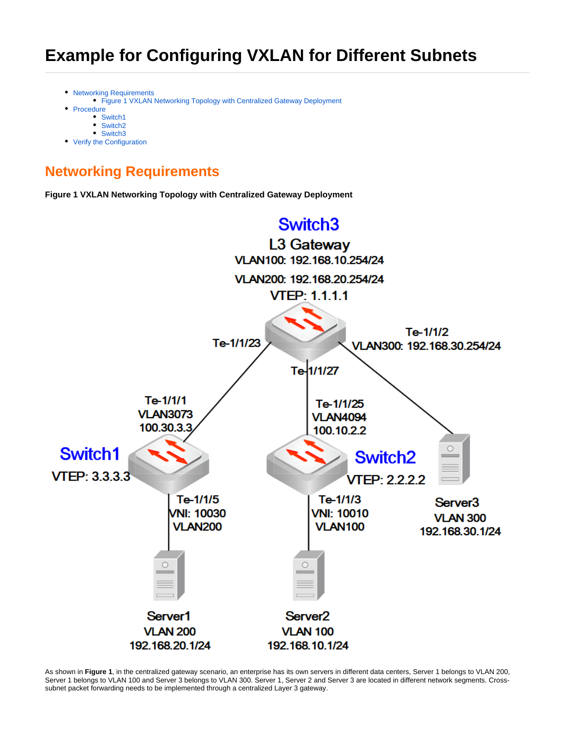- [Networking Requirements](#page-0-0)
- [Figure 1 VXLAN Networking Topology with Centralized Gateway Deployment](#page-0-1)
- [Procedure](#page-1-0)
	- [Switch1](#page-1-1)
	- [Switch2](#page-1-2)
- [Switch3](#page-2-0) • [Verify the Configuration](#page-3-0)

# <span id="page-0-0"></span>**Networking Requirements**

**Figure 1 VXLAN Networking Topology with Centralized Gateway Deployment**

<span id="page-0-1"></span>

As shown in **Figure 1**, in the centralized gateway scenario, an enterprise has its own servers in different data centers, Server 1 belongs to VLAN 200, Server 1 belongs to VLAN 100 and Server 3 belongs to VLAN 300. Server 1, Server 2 and Server 3 are located in different network segments. Crosssubnet packet forwarding needs to be implemented through a centralized Layer 3 gateway.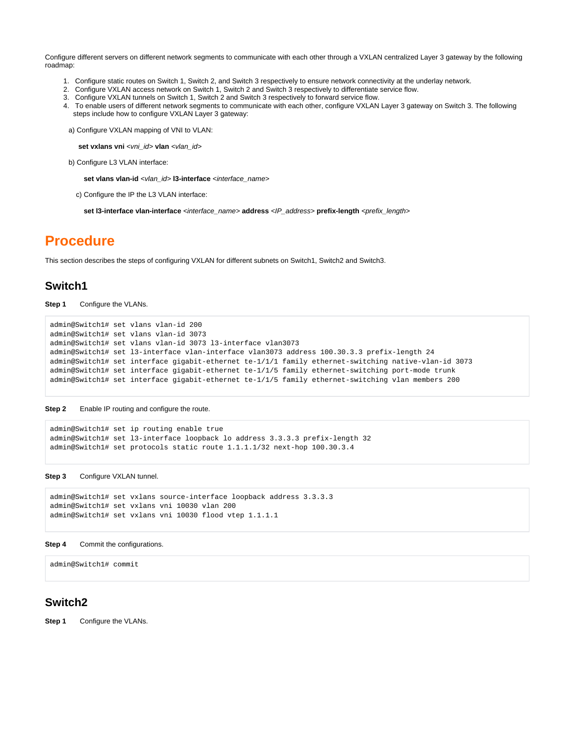Configure different servers on different network segments to communicate with each other through a VXLAN centralized Layer 3 gateway by the following roadmap:

- 1. Configure static routes on Switch 1, Switch 2, and Switch 3 respectively to ensure network connectivity at the underlay network.
- 2. Configure VXLAN access network on Switch 1, Switch 2 and Switch 3 respectively to differentiate service flow.
- 3. Configure VXLAN tunnels on Switch 1, Switch 2 and Switch 3 respectively to forward service flow.
- 4. To enable users of different network segments to communicate with each other, configure VXLAN Layer 3 gateway on Switch 3. The following steps include how to configure VXLAN Layer 3 gateway:

a) Configure VXLAN mapping of VNI to VLAN:

set vxlans vni <vni\_id> vlan <vlan\_id>

b) Configure L3 VLAN interface:

set vlans vlan-id <vlan\_id> l3-interface <interface\_name>

c) Configure the IP the L3 VLAN interface:

set I3-interface vlan-interface <interface\_name> address <IP\_address> prefix-length <prefix\_length>

# <span id="page-1-0"></span>**Procedure**

This section describes the steps of configuring VXLAN for different subnets on Switch1, Switch2 and Switch3.

## <span id="page-1-1"></span>**Switch1**

**Step 1** Configure the VLANs.

```
admin@Switch1# set vlans vlan-id 200
admin@Switch1# set vlans vlan-id 3073
admin@Switch1# set vlans vlan-id 3073 l3-interface vlan3073
admin@Switch1# set l3-interface vlan-interface vlan3073 address 100.30.3.3 prefix-length 24
admin@Switch1# set interface gigabit-ethernet te-1/1/1 family ethernet-switching native-vlan-id 3073
admin@Switch1# set interface gigabit-ethernet te-1/1/5 family ethernet-switching port-mode trunk
admin@Switch1# set interface gigabit-ethernet te-1/1/5 family ethernet-switching vlan members 200
```
**Step 2** Enable IP routing and configure the route.

```
admin@Switch1# set ip routing enable true
admin@Switch1# set l3-interface loopback lo address 3.3.3.3 prefix-length 32
admin@Switch1# set protocols static route 1.1.1.1/32 next-hop 100.30.3.4
```
**Step 3** Configure VXLAN tunnel.

```
admin@Switch1# set vxlans source-interface loopback address 3.3.3.3
admin@Switch1# set vxlans vni 10030 vlan 200
admin@Switch1# set vxlans vni 10030 flood vtep 1.1.1.1
```
#### **Step 4** Commit the configurations.

admin@Switch1# commit

# <span id="page-1-2"></span>**Switch2**

**Step 1** Configure the VLANs.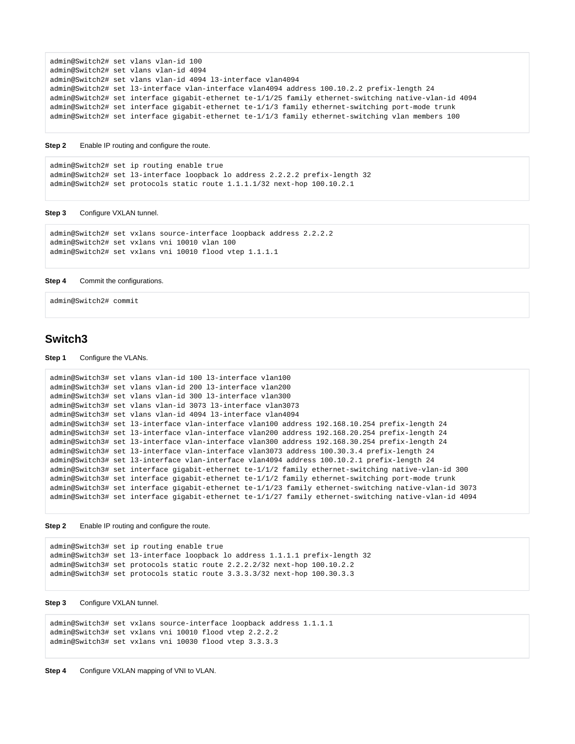```
admin@Switch2# set vlans vlan-id 100
admin@Switch2# set vlans vlan-id 4094
admin@Switch2# set vlans vlan-id 4094 l3-interface vlan4094
admin@Switch2# set l3-interface vlan-interface vlan4094 address 100.10.2.2 prefix-length 24
admin@Switch2# set interface gigabit-ethernet te-1/1/25 family ethernet-switching native-vlan-id 4094
admin@Switch2# set interface gigabit-ethernet te-1/1/3 family ethernet-switching port-mode trunk
admin@Switch2# set interface gigabit-ethernet te-1/1/3 family ethernet-switching vlan members 100
```
**Step 2** Enable IP routing and configure the route.

```
admin@Switch2# set ip routing enable true
admin@Switch2# set l3-interface loopback lo address 2.2.2.2 prefix-length 32
admin@Switch2# set protocols static route 1.1.1.1/32 next-hop 100.10.2.1
```
#### **Step 3** Configure VXLAN tunnel.

```
admin@Switch2# set vxlans source-interface loopback address 2.2.2.2
admin@Switch2# set vxlans vni 10010 vlan 100
admin@Switch2# set vxlans vni 10010 flood vtep 1.1.1.1
```
#### **Step 4** Commit the configurations.

```
admin@Switch2# commit
```
### <span id="page-2-0"></span>**Switch3**

#### **Step 1** Configure the VLANs.

```
admin@Switch3# set vlans vlan-id 100 l3-interface vlan100
admin@Switch3# set vlans vlan-id 200 l3-interface vlan200
admin@Switch3# set vlans vlan-id 300 l3-interface vlan300
admin@Switch3# set vlans vlan-id 3073 l3-interface vlan3073
admin@Switch3# set vlans vlan-id 4094 l3-interface vlan4094
admin@Switch3# set l3-interface vlan-interface vlan100 address 192.168.10.254 prefix-length 24
admin@Switch3# set l3-interface vlan-interface vlan200 address 192.168.20.254 prefix-length 24
admin@Switch3# set l3-interface vlan-interface vlan300 address 192.168.30.254 prefix-length 24
admin@Switch3# set l3-interface vlan-interface vlan3073 address 100.30.3.4 prefix-length 24
admin@Switch3# set l3-interface vlan-interface vlan4094 address 100.10.2.1 prefix-length 24
admin@Switch3# set interface gigabit-ethernet te-1/1/2 family ethernet-switching native-vlan-id 300
admin@Switch3# set interface gigabit-ethernet te-1/1/2 family ethernet-switching port-mode trunk
admin@Switch3# set interface gigabit-ethernet te-1/1/23 family ethernet-switching native-vlan-id 3073
admin@Switch3# set interface gigabit-ethernet te-1/1/27 family ethernet-switching native-vlan-id 4094
```
**Step 2** Enable IP routing and configure the route.

```
admin@Switch3# set ip routing enable true
admin@Switch3# set l3-interface loopback lo address 1.1.1.1 prefix-length 32
admin@Switch3# set protocols static route 2.2.2.2/32 next-hop 100.10.2.2
admin@Switch3# set protocols static route 3.3.3.3/32 next-hop 100.30.3.3
```
#### **Step 3** Configure VXLAN tunnel.

```
admin@Switch3# set vxlans source-interface loopback address 1.1.1.1
admin@Switch3# set vxlans vni 10010 flood vtep 2.2.2.2
admin@Switch3# set vxlans vni 10030 flood vtep 3.3.3.3
```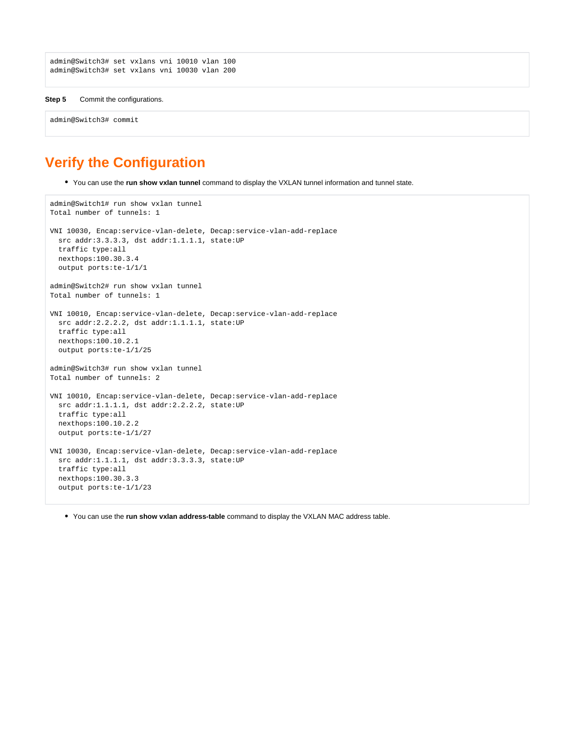```
admin@Switch3# set vxlans vni 10010 vlan 100
admin@Switch3# set vxlans vni 10030 vlan 200
```

```
Step 5 Commit the configurations.
```
admin@Switch3# commit

# <span id="page-3-0"></span>**Verify the Configuration**

You can use the **run show vxlan tunnel** command to display the VXLAN tunnel information and tunnel state.

```
admin@Switch1# run show vxlan tunnel
Total number of tunnels: 1
VNI 10030, Encap:service-vlan-delete, Decap:service-vlan-add-replace
  src addr:3.3.3.3, dst addr:1.1.1.1, state:UP
  traffic type:all
  nexthops:100.30.3.4
   output ports:te-1/1/1
admin@Switch2# run show vxlan tunnel
Total number of tunnels: 1
VNI 10010, Encap:service-vlan-delete, Decap:service-vlan-add-replace
   src addr:2.2.2.2, dst addr:1.1.1.1, state:UP
   traffic type:all
  nexthops:100.10.2.1
  output ports:te-1/1/25
admin@Switch3# run show vxlan tunnel
Total number of tunnels: 2
VNI 10010, Encap:service-vlan-delete, Decap:service-vlan-add-replace
  src addr:1.1.1.1, dst addr:2.2.2.2, state:UP
   traffic type:all
  nexthops:100.10.2.2
  output ports:te-1/1/27
VNI 10030, Encap:service-vlan-delete, Decap:service-vlan-add-replace
   src addr:1.1.1.1, dst addr:3.3.3.3, state:UP
   traffic type:all
  nexthops:100.30.3.3
   output ports:te-1/1/23
```
You can use the **run show vxlan address-table** command to display the VXLAN MAC address table.